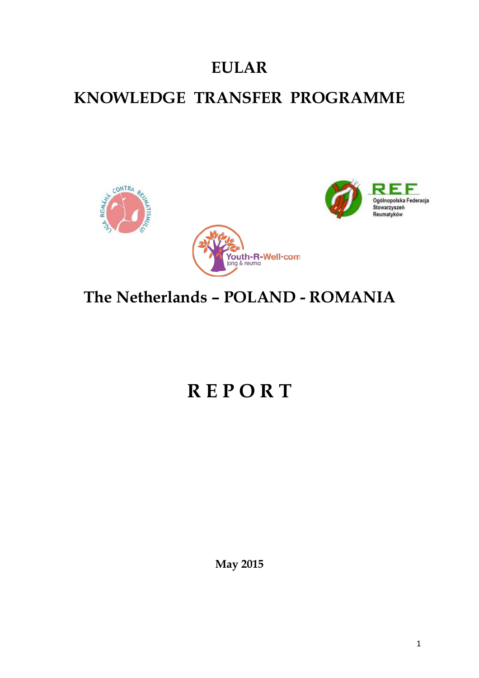# **EULAR**

### **KNOWLEDGE TRANSFER PROGRAMME**



# **The Netherlands – POLAND - ROMANIA**

# **R E P O R T**

**May 2015**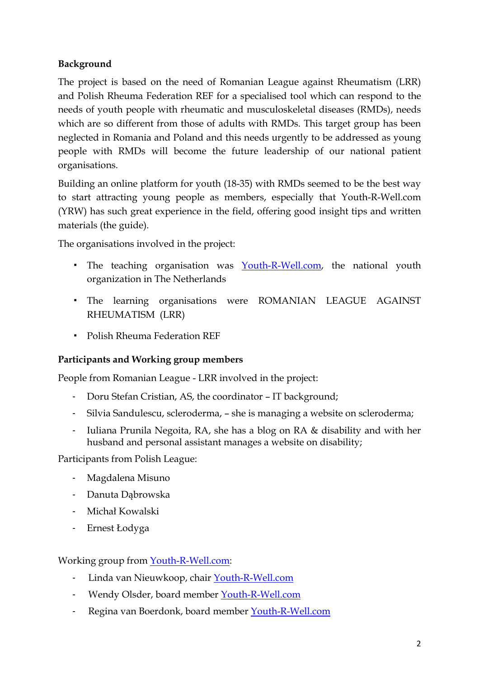### **Background**

The project is based on the need of Romanian League against Rheumatism (LRR) and Polish Rheuma Federation REF for a specialised tool which can respond to the needs of youth people with rheumatic and musculoskeletal diseases (RMDs), needs which are so different from those of adults with RMDs. This target group has been neglected in Romania and Poland and this needs urgently to be addressed as young people with RMDs will become the future leadership of our national patient organisations.

Building an online platform for youth (18-35) with RMDs seemed to be the best way to start attracting young people as members, especially that Youth-R-Well.com (YRW) has such great experience in the field, offering good insight tips and written materials (the guide).

The organisations involved in the project:

- **•** The teaching organisation was [Youth-R-Well.com,](http://youth-r-well.com/) the national youth organization in The Netherlands
- The learning organisations were ROMANIAN LEAGUE AGAINST RHEUMATISM (LRR)
- Polish Rheuma Federation REF

#### **Participants and Working group members**

People from Romanian League - LRR involved in the project:

- Doru Stefan Cristian, AS, the coordinator IT background;
- Silvia Sandulescu, scleroderma, she is managing a website on scleroderma;
- Iuliana Prunila Negoita, RA, she has a blog on RA & disability and with her husband and personal assistant manages a website on disability;

Participants from Polish League:

- Magdalena Misuno
- Danuta Dąbrowska
- Michał Kowalski
- Ernest Łodyga

Working group from [Youth-R-Well.com:](http://youth-r-well.com/)

- Linda van Nieuwkoop, chair [Youth-R-Well.com](http://youth-r-well.com/)
- Wendy Olsder, board member [Youth-R-Well.com](http://youth-r-well.com/)
- Regina van Boerdonk, board member [Youth-R-Well.com](http://youth-r-well.com/)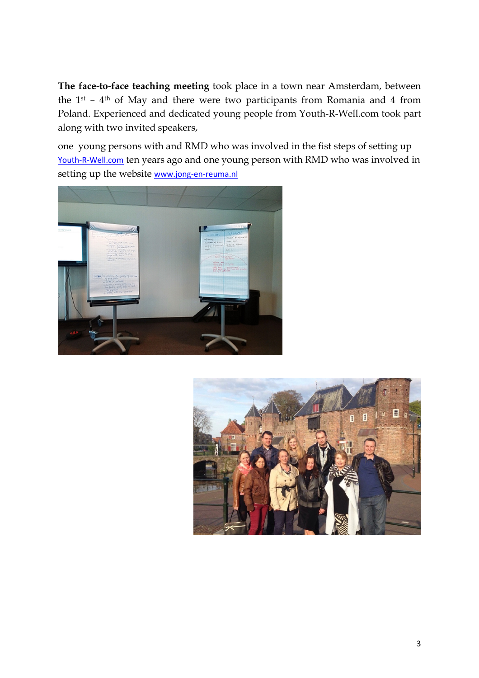**The face-to-face teaching meeting** took place in a town near Amsterdam, between the 1st – 4th of May and there were two participants from Romania and 4 from Poland. Experienced and dedicated young people from Youth-R-Well.com took part along with two invited speakers,

one young persons with and RMD who was involved in the fist steps of setting up [Youth-R-Well.com](http://youth-r-well.com/) ten years ago and one young person with RMD who was involved in setting up the website [www.jong-en-reuma.nl](http://www.jong-en-reuma.nl/)



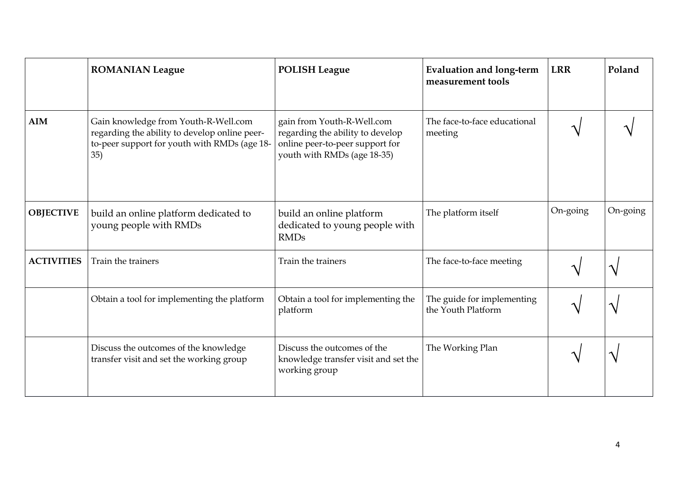|                   | <b>ROMANIAN League</b>                                                                                                                       | <b>POLISH League</b>                                                                                                             | <b>Evaluation and long-term</b><br>measurement tools | <b>LRR</b> | Poland   |
|-------------------|----------------------------------------------------------------------------------------------------------------------------------------------|----------------------------------------------------------------------------------------------------------------------------------|------------------------------------------------------|------------|----------|
| <b>AIM</b>        | Gain knowledge from Youth-R-Well.com<br>regarding the ability to develop online peer-<br>to-peer support for youth with RMDs (age 18-<br>35) | gain from Youth-R-Well.com<br>regarding the ability to develop<br>online peer-to-peer support for<br>youth with RMDs (age 18-35) | The face-to-face educational<br>meeting              |            |          |
| <b>OBJECTIVE</b>  | build an online platform dedicated to<br>young people with RMDs                                                                              | build an online platform<br>dedicated to young people with<br><b>RMDs</b>                                                        | The platform itself                                  | On-going   | On-going |
| <b>ACTIVITIES</b> | Train the trainers                                                                                                                           | Train the trainers                                                                                                               | The face-to-face meeting                             |            |          |
|                   | Obtain a tool for implementing the platform                                                                                                  | Obtain a tool for implementing the<br>platform                                                                                   | The guide for implementing<br>the Youth Platform     |            |          |
|                   | Discuss the outcomes of the knowledge<br>transfer visit and set the working group                                                            | Discuss the outcomes of the<br>knowledge transfer visit and set the<br>working group                                             | The Working Plan                                     |            |          |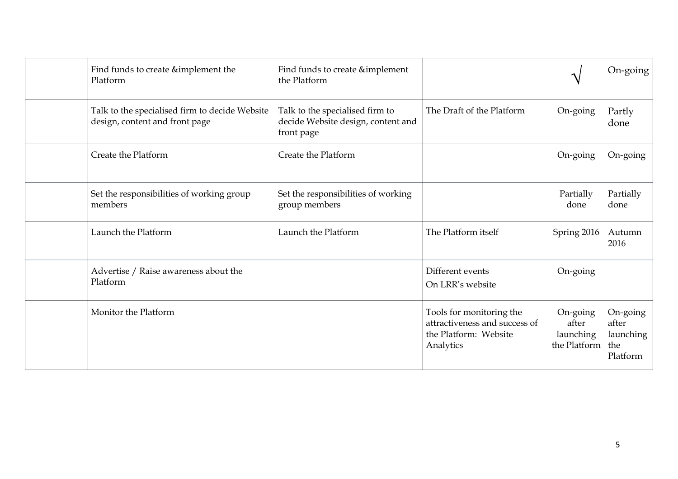| Find funds to create &implement the<br>Platform                                  | Find funds to create &implement<br>the Platform                                     |                                                                                                 | $\boldsymbol{\gamma}$                          | On-going                                          |
|----------------------------------------------------------------------------------|-------------------------------------------------------------------------------------|-------------------------------------------------------------------------------------------------|------------------------------------------------|---------------------------------------------------|
| Talk to the specialised firm to decide Website<br>design, content and front page | Talk to the specialised firm to<br>decide Website design, content and<br>front page | The Draft of the Platform                                                                       | On-going                                       | Partly<br>done                                    |
| Create the Platform                                                              | Create the Platform                                                                 |                                                                                                 | On-going                                       | On-going                                          |
| Set the responsibilities of working group<br>members                             | Set the responsibilities of working<br>group members                                |                                                                                                 | Partially<br>done                              | Partially<br>done                                 |
| Launch the Platform                                                              | Launch the Platform                                                                 | The Platform itself                                                                             | Spring 2016                                    | Autumn<br>2016                                    |
| Advertise / Raise awareness about the<br>Platform                                |                                                                                     | Different events<br>On LRR's website                                                            | On-going                                       |                                                   |
| Monitor the Platform                                                             |                                                                                     | Tools for monitoring the<br>attractiveness and success of<br>the Platform: Website<br>Analytics | On-going<br>after<br>launching<br>the Platform | On-going<br>after<br>launching<br>the<br>Platform |